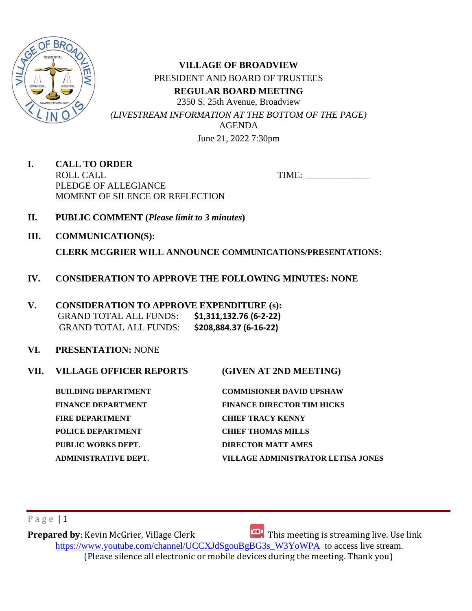

**VILLAGE OF BROADVIEW** PRESIDENT AND BOARD OF TRUSTEES **REGULAR BOARD MEETING** 2350 S. 25th Avenue, Broadview *(LIVESTREAM INFORMATION AT THE BOTTOM OF THE PAGE)* AGENDA June 21, 2022 7:30pm

**I. CALL TO ORDER** ROLL CALL TIME: PLEDGE OF ALLEGIANCE MOMENT OF SILENCE OR REFLECTION

- **II. PUBLIC COMMENT (***Please limit to 3 minutes***)**
- **III. COMMUNICATION(S):**

**CLERK MCGRIER WILL ANNOUNCE COMMUNICATIONS/PRESENTATIONS:**

- **IV. CONSIDERATION TO APPROVE THE FOLLOWING MINUTES: NONE**
- **V. CONSIDERATION TO APPROVE EXPENDITURE (s):**  GRAND TOTAL ALL FUNDS: **\$1,311,132.76 (6-2-22)**  GRAND TOTAL ALL FUNDS: **\$208,884.37 (6-16-22)**
- **VI. PRESENTATION:** NONE
- **VII. VILLAGE OFFICER REPORTS (GIVEN AT 2ND MEETING) BUILDING DEPARTMENT COMMISIONER DAVID UPSHAW FINANCE DEPARTMENT FINANCE DIRECTOR TIM HICKS**

**FIRE DEPARTMENT CHIEF TRACY KENNY POLICE DEPARTMENT CHIEF THOMAS MILLS PUBLIC WORKS DEPT. DIRECTOR MATT AMES**

**ADMINISTRATIVE DEPT. VILLAGE ADMINISTRATOR LETISA JONES** 

# $P$  a g e  $|1$

**Prepared by**: Kevin McGrier, Village Clerk This meeting is streaming live. Use link [https://www.youtube.com/channel/UCCXJdSgouBgBG3s\\_W3YoWPA](https://url.emailprotection.link/?bH1bmLuRP-9egfczNVLB6hb63GrVthrlQktmbLWCdnlWKtnqH_0My5vSConz-6IiWogulnQhcpjgSqn2pH3l8LnPX0oiVvrZUMgXhY5wbjZLAorLvVtxbK5Q_fJ98SdOZ) to access live stream. (Please silence all electronic or mobile devices during the meeting. Thank you)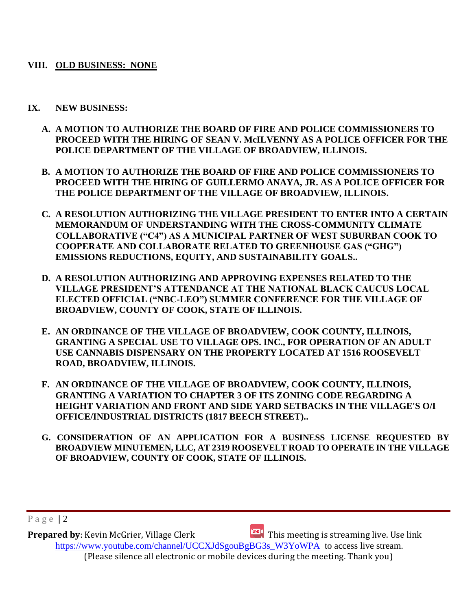## **VIII. OLD BUSINESS: NONE**

## **IX. NEW BUSINESS:**

- **A. A MOTION TO AUTHORIZE THE BOARD OF FIRE AND POLICE COMMISSIONERS TO PROCEED WITH THE HIRING OF SEAN V. McILVENNY AS A POLICE OFFICER FOR THE POLICE DEPARTMENT OF THE VILLAGE OF BROADVIEW, ILLINOIS.**
- **B. A MOTION TO AUTHORIZE THE BOARD OF FIRE AND POLICE COMMISSIONERS TO PROCEED WITH THE HIRING OF GUILLERMO ANAYA, JR. AS A POLICE OFFICER FOR THE POLICE DEPARTMENT OF THE VILLAGE OF BROADVIEW, ILLINOIS.**
- **C. A RESOLUTION AUTHORIZING THE VILLAGE PRESIDENT TO ENTER INTO A CERTAIN MEMORANDUM OF UNDERSTANDING WITH THE CROSS-COMMUNITY CLIMATE COLLABORATIVE ("C4") AS A MUNICIPAL PARTNER OF WEST SUBURBAN COOK TO COOPERATE AND COLLABORATE RELATED TO GREENHOUSE GAS ("GHG") EMISSIONS REDUCTIONS, EQUITY, AND SUSTAINABILITY GOALS..**
- **D. A RESOLUTION AUTHORIZING AND APPROVING EXPENSES RELATED TO THE VILLAGE PRESIDENT'S ATTENDANCE AT THE NATIONAL BLACK CAUCUS LOCAL ELECTED OFFICIAL ("NBC-LEO") SUMMER CONFERENCE FOR THE VILLAGE OF BROADVIEW, COUNTY OF COOK, STATE OF ILLINOIS.**
- **E. AN ORDINANCE OF THE VILLAGE OF BROADVIEW, COOK COUNTY, ILLINOIS, GRANTING A SPECIAL USE TO VILLAGE OPS. INC., FOR OPERATION OF AN ADULT USE CANNABIS DISPENSARY ON THE PROPERTY LOCATED AT 1516 ROOSEVELT ROAD, BROADVIEW, ILLINOIS.**
- **F. AN ORDINANCE OF THE VILLAGE OF BROADVIEW, COOK COUNTY, ILLINOIS, GRANTING A VARIATION TO CHAPTER 3 OF ITS ZONING CODE REGARDING A HEIGHT VARIATION AND FRONT AND SIDE YARD SETBACKS IN THE VILLAGE'S O/I OFFICE/INDUSTRIAL DISTRICTS (1817 BEECH STREET)..**
- **G. CONSIDERATION OF AN APPLICATION FOR A BUSINESS LICENSE REQUESTED BY BROADVIEW MINUTEMEN, LLC, AT 2319 ROOSEVELT ROAD TO OPERATE IN THE VILLAGE OF BROADVIEW, COUNTY OF COOK, STATE OF ILLINOIS.**

P a g e | 2

**Prepared by**: Kevin McGrier, Village Clerk This meeting is streaming live. Use link [https://www.youtube.com/channel/UCCXJdSgouBgBG3s\\_W3YoWPA](https://url.emailprotection.link/?bH1bmLuRP-9egfczNVLB6hb63GrVthrlQktmbLWCdnlWKtnqH_0My5vSConz-6IiWogulnQhcpjgSqn2pH3l8LnPX0oiVvrZUMgXhY5wbjZLAorLvVtxbK5Q_fJ98SdOZ) to access live stream. (Please silence all electronic or mobile devices during the meeting. Thank you)